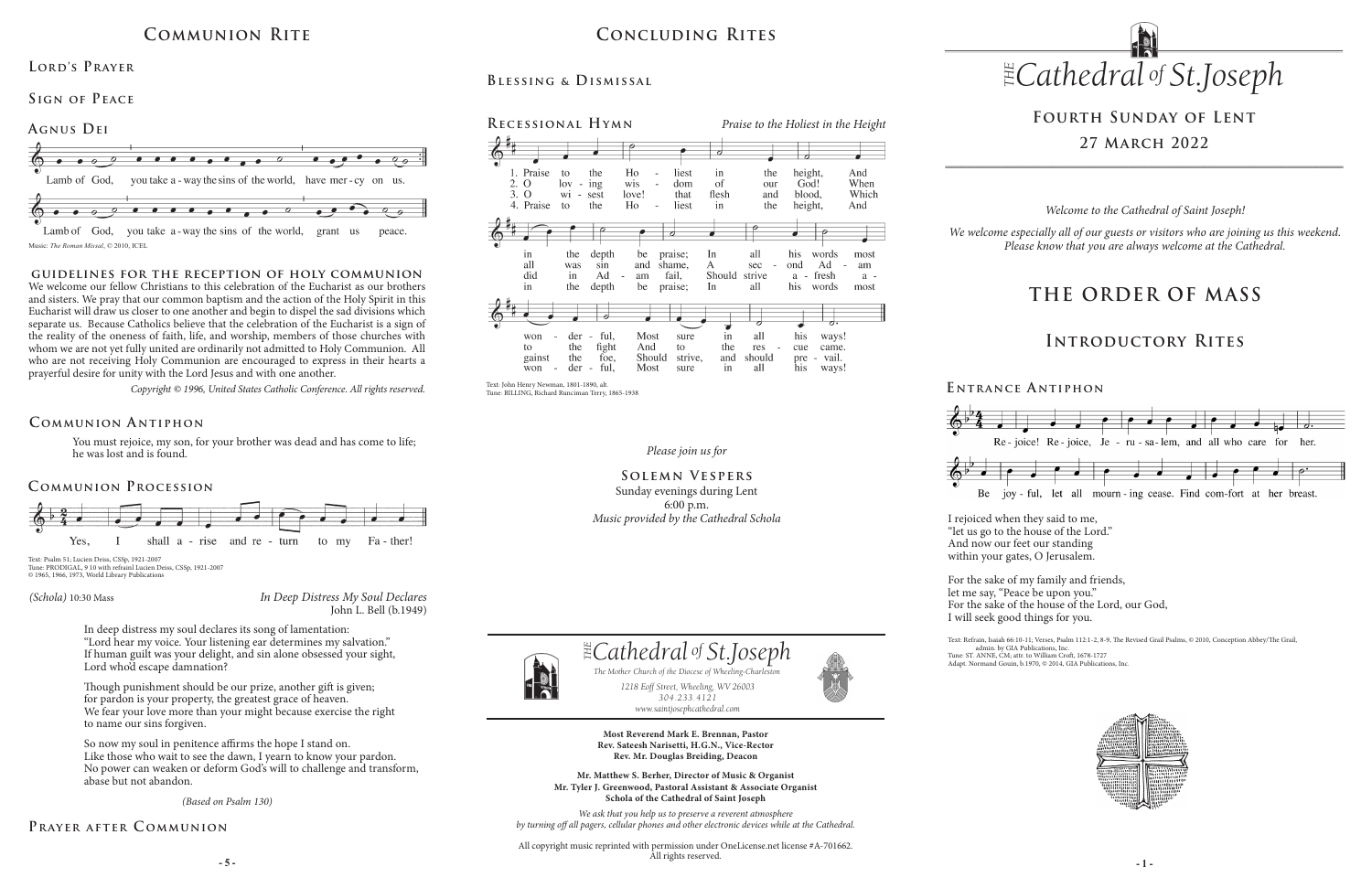*Please join us for*

### **Solemn Vespers** Sunday evenings during Lent 6:00 p.m. *Music provided by the Cathedral Schola*



# **Fourth Sunday of Lent 27 March 2022**

You must rejoice, my son, for your brother was dead and has come to life; he was lost and is found.

### **Communion A ntiphon**

# **Concluding Rites**

## **Recessional Hymn**

 $\overline{O}$ 

in

all

did

in

 $3.0$ 

## **Blessing & Dismissal**



ful. all his  $der -$ Most ways! won sure in the fight And to the cue came. to res the foe, Should strive, and should vail. gainst pre ways!  $\bar{w}$  on der - ful, Most sure in all his  $\sim$ 

*In Deep Distress My Soul Declares* John L. Bell (b.1949)

#### *(Schola)* 10:30 Mass

### **E ntrance A ntiphon**



## **Communion Rite**







## **Lord's Prayer**

**Sign of Peace** 

#### *(Based on Psalm 130)*

## PRAYER AFTER COMMUNION

# **THE ORDER OF MASS**

## **Introductory Rites**

*Welcome to the Cathedral of Saint Joseph!*

*We welcome especially all of our guests or visitors who are joining us this weekend. Please know that you are always welcome at the Cathedral.*

### **guidelines for the reception of holy communion**

**- 5 - - 1 -** All copyright music reprinted with permission under OneLicense.net license #A-701662. All rights reserved.





We welcome our fellow Christians to this celebration of the Eucharist as our brothers and sisters. We pray that our common baptism and the action of the Holy Spirit in this Eucharist will draw us closer to one another and begin to dispel the sad divisions which separate us. Because Catholics believe that the celebration of the Eucharist is a sign of the reality of the oneness of faith, life, and worship, members of those churches with whom we are not yet fully united are ordinarily not admitted to Holy Communion. All who are not receiving Holy Communion are encouraged to express in their hearts a prayerful desire for unity with the Lord Jesus and with one another.

*Copyright © 1996, United States Catholic Conference. All rights reserved.* 



*304.233.4121*

*www.saintjosephcathedral.com*





*www.saintjosephcathedral.com*

**Most Reverend Mark E. Brennan, Pastor Rev. Sateesh Narisetti, H.G.N., Vice-Rector Rev. Mr. Douglas Breiding, Deacon**

**Mr. Matthew S. Berher, Director of Music & Organist Mr. Tyler J. Greenwood, Pastoral Assistant & Associate Organist Schola of the Cathedral of Saint Joseph**

*We ask that you help us to preserve a reverent atmosphere by turning off all pagers, cellular phones and other electronic devices while at the Cathedral.*

Text: John Henry Newman, 1801-1890, alt. Tune: BILLING, Richard Runciman Terry, 1865-1938

Text: Psalm 51; Lucien Deiss, CSSp, 1921-2007 Tune: PRODIGAL, 9 10 with refrainl Lucien Deiss, CSSp, 1921-2007 © 1965, 1966, 1973, World Library Publications I rejoiced when they said to me, "let us go to the house of the Lord." And now our feet our standing within your gates, O Jerusalem.

For the sake of my family and friends, let me say, "Peace be upon you." For the sake of the house of the Lord, our God, I will seek good things for you.

Text: Refrain, Isaiah 66:10-11; Verses, Psalm 112:1-2, 8-9, The Revised Grail Psalms, © 2010, Conception Abbey/The Grail, admin. by GIA Publications, Inc. Tune: ST. ANNE, CM; attr. to William Croft, 1678-1727

Adapt. Normand Gouin, b.1970, © 2014, GIA Publications, Inc.



In deep distress my soul declares its song of lamentation: "Lord hear my voice. Your listening ear determines my salvation." If human guilt was your delight, and sin alone obsessed your sight, Lord who'd escape damnation?

Though punishment should be our prize, another gift is given; for pardon is your property, the greatest grace of heaven. We fear your love more than your might because exercise the right to name our sins forgiven.

So now my soul in penitence affirms the hope I stand on. Like those who wait to see the dawn, I yearn to know your pardon. No power can weaken or deform God's will to challenge and transform, abase but not abandon.